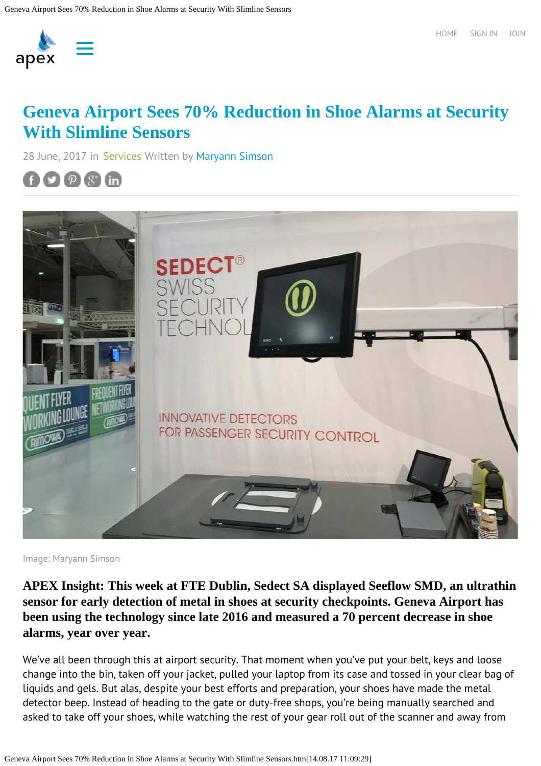

## **[Geneva Airport Sees 70% Reduction in Shoe Alarms at Security](https://apex.aero/2017/06/28/geneva-airport-70-percent-reduction-shoe-alarms-security-slimline-sensors) [With Slimline Sensors](https://apex.aero/2017/06/28/geneva-airport-70-percent-reduction-shoe-alarms-security-slimline-sensors)**

28 June, 2017 in [Services](https://apex.aero/cater-services-news/) Written by [Maryann Simson](https://apex.aero/author/maryann/)





Image: Maryann Simson

**APEX Insight: This week at FTE Dublin, Sedect SA displayed Seeflow SMD, an ultrathin sensor for early detection of metal in shoes at security checkpoints. Geneva Airport has been using the technology since late 2016 and measured a 70 percent decrease in shoe alarms, year over year.**

We've all been through this at airport security. That moment when you've put your belt, keys and loose change into the bin, taken off your jacket, pulled your laptop from its case and tossed in your clear bag of liquids and gels. But alas, despite your best efforts and preparation, your shoes have made the metal detector beep. Instead of heading to the gate or duty-free shops, you're being manually searched and asked to take off your shoes, while watching the rest of your gear roll out of the scanner and away from